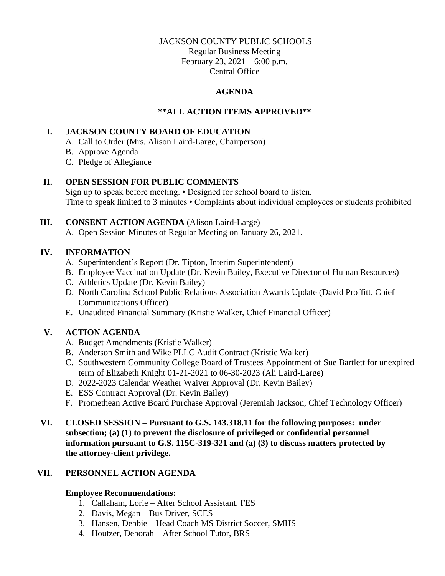### JACKSON COUNTY PUBLIC SCHOOLS

Regular Business Meeting February 23, 2021 – 6:00 p.m. Central Office

# **AGENDA**

# **\*\*ALL ACTION ITEMS APPROVED\*\***

## **I. JACKSON COUNTY BOARD OF EDUCATION**

- A. Call to Order (Mrs. Alison Laird-Large, Chairperson)
- B. Approve Agenda
- C. Pledge of Allegiance

## **II. OPEN SESSION FOR PUBLIC COMMENTS**

Sign up to speak before meeting. • Designed for school board to listen. Time to speak limited to 3 minutes • Complaints about individual employees or students prohibited

## **III. CONSENT ACTION AGENDA** (Alison Laird-Large)

A. Open Session Minutes of Regular Meeting on January 26, 2021.

## **IV. INFORMATION**

- A. Superintendent's Report (Dr. Tipton, Interim Superintendent)
- B. Employee Vaccination Update (Dr. Kevin Bailey, Executive Director of Human Resources)
- C. Athletics Update (Dr. Kevin Bailey)
- D. North Carolina School Public Relations Association Awards Update (David Proffitt, Chief Communications Officer)
- E. Unaudited Financial Summary (Kristie Walker, Chief Financial Officer)

# **V. ACTION AGENDA**

- A. Budget Amendments (Kristie Walker)
- B. Anderson Smith and Wike PLLC Audit Contract (Kristie Walker)
- C. Southwestern Community College Board of Trustees Appointment of Sue Bartlett for unexpired term of Elizabeth Knight 01-21-2021 to 06-30-2023 (Ali Laird-Large)
- D. 2022-2023 Calendar Weather Waiver Approval (Dr. Kevin Bailey)
- E. ESS Contract Approval (Dr. Kevin Bailey)
- F. Promethean Active Board Purchase Approval (Jeremiah Jackson, Chief Technology Officer)
- **VI. CLOSED SESSION – Pursuant to G.S. 143.318.11 for the following purposes: under subsection; (a) (1) to prevent the disclosure of privileged or confidential personnel information pursuant to G.S. 115C-319-321 and (a) (3) to discuss matters protected by the attorney-client privilege.**

## **VII. PERSONNEL ACTION AGENDA**

## **Employee Recommendations:**

- 1. Callaham, Lorie After School Assistant. FES
- 2. Davis, Megan Bus Driver, SCES
- 3. Hansen, Debbie Head Coach MS District Soccer, SMHS
- 4. Houtzer, Deborah After School Tutor, BRS